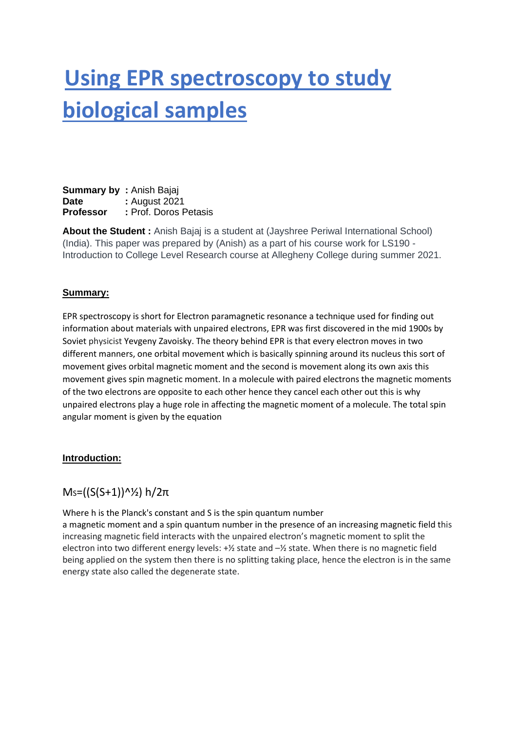# **Using EPR spectroscopy to study biological samples**

**Summary by: Anish Bajaj Date** : August 2021 **Professor :** Prof. Doros Petasis

**About the Student :** Anish Bajaj is a student at (Jayshree Periwal International School) (India). This paper was prepared by (Anish) as a part of his course work for LS190 - Introduction to College Level Research course at Allegheny College during summer 2021.

### **Summary:**

EPR spectroscopy is short for Electron paramagnetic resonance a technique used for finding out information about materials with unpaired electrons, EPR was first discovered in the mid 1900s by Soviet physicist Yevgeny Zavoisky. The theory behind EPR is that every electron moves in two different manners, one orbital movement which is basically spinning around its nucleus this sort of movement gives orbital magnetic moment and the second is movement along its own axis this movement gives spin magnetic moment. In a molecule with paired electrons the magnetic moments of the two electrons are opposite to each other hence they cancel each other out this is why unpaired electrons play a huge role in affecting the magnetic moment of a molecule. The total spin angular moment is given by the equation

#### **Introduction:**

## $Ms = ((S(S+1))^2/2) h/2π$

Where h is the Planck's constant and S is the spin quantum number

a magnetic moment and a spin quantum number in the presence of an increasing magnetic field this increasing magnetic field interacts with the unpaired electron's magnetic moment to split the electron into two different energy levels:  $+\frac{1}{2}$  state and  $-\frac{1}{2}$  state. When there is no magnetic field being applied on the system then there is no splitting taking place, hence the electron is in the same energy state also called the degenerate state.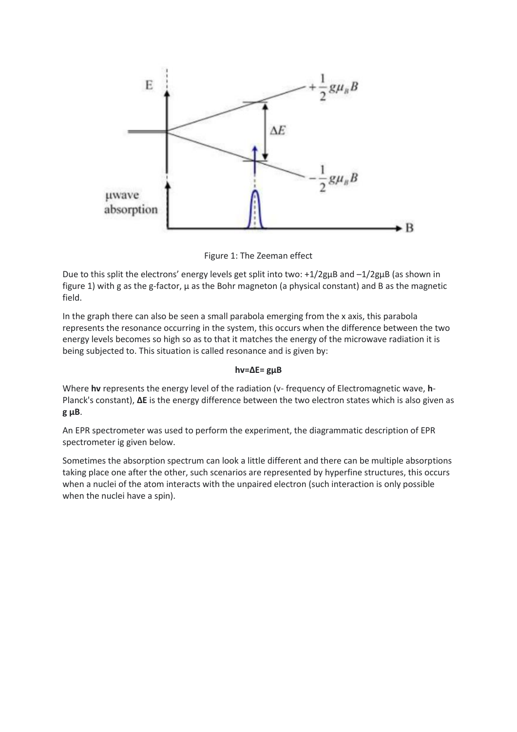

Figure 1: The Zeeman effect

Due to this split the electrons' energy levels get split into two: +1/2gμB and –1/2gμB (as shown in figure 1) with g as the g-factor, μ as the Bohr magneton (a physical constant) and B as the magnetic field.

In the graph there can also be seen a small parabola emerging from the x axis, this parabola represents the resonance occurring in the system, this occurs when the difference between the two energy levels becomes so high so as to that it matches the energy of the microwave radiation it is being subjected to. This situation is called resonance and is given by:

#### **hv=ΔE= gμB**

Where **hv** represents the energy level of the radiation (v- frequency of Electromagnetic wave, **h**-Planck's constant), **ΔE** is the energy difference between the two electron states which is also given as **g μB**.

An EPR spectrometer was used to perform the experiment, the diagrammatic description of EPR spectrometer ig given below.

Sometimes the absorption spectrum can look a little different and there can be multiple absorptions taking place one after the other, such scenarios are represented by hyperfine structures, this occurs when a nuclei of the atom interacts with the unpaired electron (such interaction is only possible when the nuclei have a spin).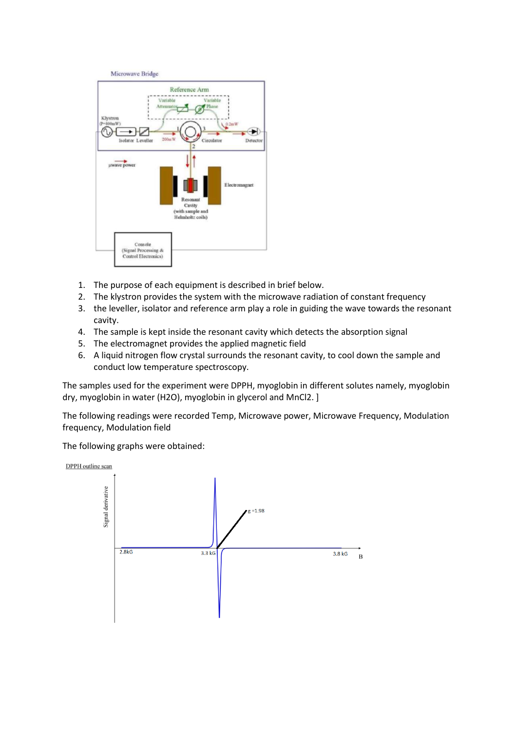

- 1. The purpose of each equipment is described in brief below.
- 2. The klystron provides the system with the microwave radiation of constant frequency
- 3. the leveller, isolator and reference arm play a role in guiding the wave towards the resonant cavity.
- 4. The sample is kept inside the resonant cavity which detects the absorption signal
- 5. The electromagnet provides the applied magnetic field
- 6. A liquid nitrogen flow crystal surrounds the resonant cavity, to cool down the sample and conduct low temperature spectroscopy.

The samples used for the experiment were DPPH, myoglobin in different solutes namely, myoglobin dry, myoglobin in water (H2O), myoglobin in glycerol and MnCl2. ]

The following readings were recorded Temp, Microwave power, Microwave Frequency, Modulation frequency, Modulation field

The following graphs were obtained:

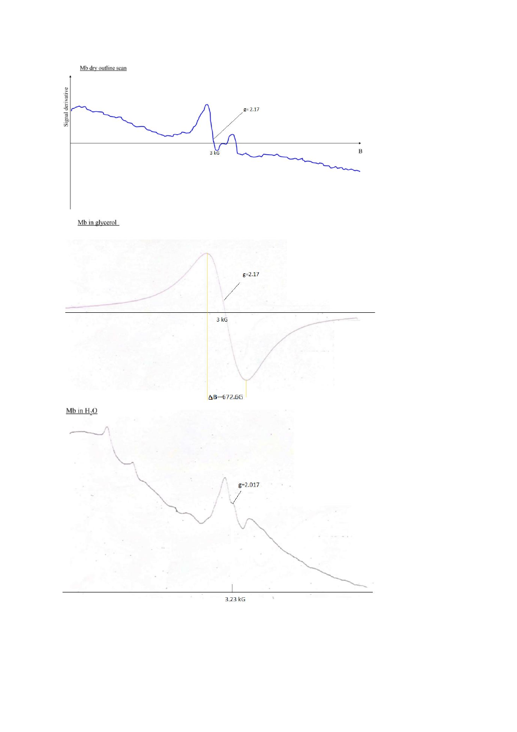

 $3.23 kG$